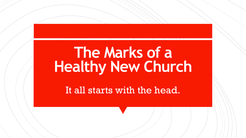## **The Marks of a Healthy New Church**

It all starts with the head.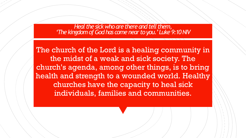*Heal the sick who are there and tell them, 'The kingdom of God has come near to you.' Luke 9:10 NIV* 

The church of the Lord is a healing community in the midst of a weak and sick society. The church's agenda, among other things, is to bring health and strength to a wounded world. Healthy churches have the capacity to heal sick individuals, families and communities.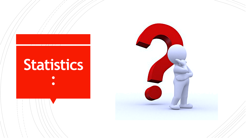

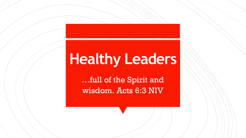## **Healthy Leaders**

…full of the Spirit and wisdom. Acts 6:3 NIV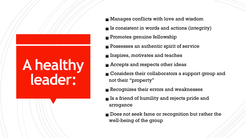# **A healthy leader:**

- **If Manages conflicts with love and wisdom**
- $\blacksquare$  Is consistent in words and actions (integrity)
- **Promotes genuine fellowship**
- **Possesses an authentic spirit of service**
- **Example 1** Inspires, motivates and teaches
- **E** Accepts and respects other ideas
- **Considers their collaborators a support group and** not their "property"
- Recognizes their errors and weaknesses
- $\blacksquare$  Is a friend of humility and rejects pride and arrogance
- **Does not seek fame or recognition but rather the** well-being of the group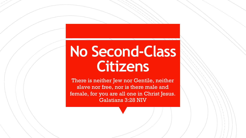## **No Second-Class Citizens**

There is neither Jew nor Gentile, neither slave nor free, nor is there male and female, for you are all one in Christ Jesus. Galatians 3:28 NIV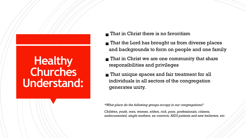#### **Healthy Churches Understand:**

- $\blacksquare$  That in Christ there is no favoritism
- **That the Lord has brought us from diverse places** and backgrounds to form on people and one family
- $\blacksquare$  That in Christ we are one community that share responsibilities and privileges
- **That unique spaces and fair treatment for all** individuals in all sectors of the congregation generates unity.

*\*What place do the following groups occupy in our congregations?* 

*Children, youth, men, women, elders, rich, poor, professionals, citizens, undocumented, single mothers, ex-convicts, AIDS patients and new believers, etc.*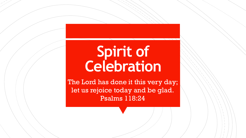## **Spirit of Celebration**

The Lord has done it this very day; let us rejoice today and be glad. Psalms 118:24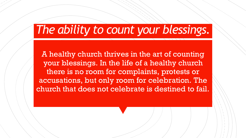#### *The ability to count your blessings.*

A healthy church thrives in the art of counting your blessings. In the life of a healthy church there is no room for complaints, protests or accusations, but only room for celebration. The church that does not celebrate is destined to fail.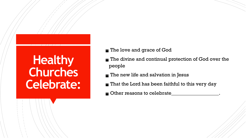### **Healthy Churches Celebrate:**

- The love and grace of God
- The divine and continual protection of God over the people
- $\blacksquare$  The new life and salvation in Jesus
- $\blacksquare$  That the Lord has been faithful to this very day
- $\blacksquare$  Other reasons to celebrate\_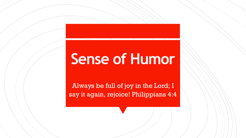## **Sense of Humor**

Always be full of joy in the Lord; I say it again, rejoice! Philippians 4:4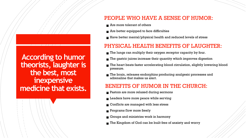**According to humor theorists, laughter is the best, most inexpensive medicine that exists.**

#### PEOPLE WHO HAVE A SENSE OF HUMOR:

- $\blacksquare$  Are more tolerant of others
- $\blacksquare$  Are better equipped to face difficulties
- $\blacksquare$  Have better mental/physical health and reduced levels of stress

#### PHYSICAL HEALTH BENEFITS OF LAUGHTER:

- $\blacksquare$  The lungs can multiply their oxygen receptor capacity by four.
- The gastric juices increase their quantity which improves digestion
- The heart beats faster accelerating blood circulation, slightly lowering blood pressure.
- $\blacksquare$  The brain, releases endorphins producing analgesic processes and adrenaline that makes us alert.

#### BENEFITS OF HUMOR IN THE CHURCH:

- **Pastors are more relaxed during sermons**
- $\blacksquare$  Leaders have more peace while serving
- Conflicts are managed with less stress
- **Programs flow more freely**
- $\blacksquare$  Groups and ministries work in harmony
- $\blacksquare$  The Kingdom of God can be built free of anxiety and worry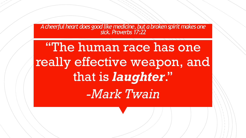*A cheerful heart does good like medicine, but a broken spirit makes one sick. Proverbs 17:22*

"The human race has one really effective weapon, and that is *laughter*." *-Mark Twain*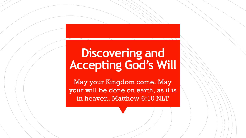### **Discovering and Accepting God's Will**

May your Kingdom come. May your will be done on earth, as it is in heaven. Matthew 6:10 NLT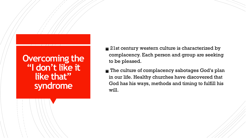#### **Overcoming the "I don't like it like that" syndrome**

- 21st century western culture is characterized by complacency. Each person and group are seeking to be pleased.
- The culture of complacency sabotages God's plan in our life. Healthy churches have discovered that God has his ways, methods and timing to fulfill his will.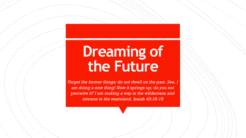## **Dreaming of the Future**

*Forget the former things; do not dwell on the past. See, I am doing a new thing! Now it springs up; do you not perceive it? I am making a way in the wilderness and streams in the wasteland. Isaiah 43:18-19*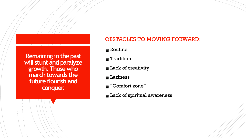**Remaining in the past will stunt and paralyze growth. Those who march towards the future flourish and conquer.**

#### OBSTACLES TO MOVING FORWARD:

- $\blacksquare$  Routine
- **Tradition**
- **Lack of creativity**
- **Laziness**
- "Comfort zone"
- **Lack of spiritual awareness**